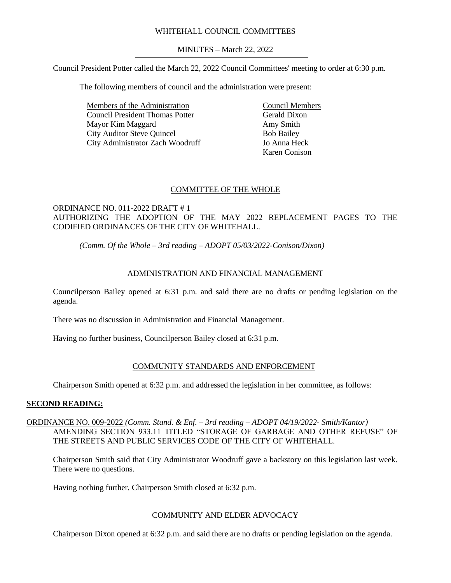## WHITEHALL COUNCIL COMMITTEES

MINUTES – March 22, 2022

Council President Potter called the March 22, 2022 Council Committees' meeting to order at 6:30 p.m.

The following members of council and the administration were present:

Members of the Administration Council President Thomas Potter Mayor Kim Maggard City Auditor Steve Quincel City Administrator Zach Woodruff Council Members Gerald Dixon Amy Smith Bob Bailey Jo Anna Heck Karen Conison

## COMMITTEE OF THE WHOLE

## ORDINANCE NO. 011-2022 DRAFT # 1 AUTHORIZING THE ADOPTION OF THE MAY 2022 REPLACEMENT PAGES TO THE CODIFIED ORDINANCES OF THE CITY OF WHITEHALL.

# *(Comm. Of the Whole – 3rd reading – ADOPT 05/03/2022-Conison/Dixon)*

# ADMINISTRATION AND FINANCIAL MANAGEMENT

Councilperson Bailey opened at 6:31 p.m. and said there are no drafts or pending legislation on the agenda.

There was no discussion in Administration and Financial Management.

Having no further business, Councilperson Bailey closed at 6:31 p.m.

## COMMUNITY STANDARDS AND ENFORCEMENT

Chairperson Smith opened at 6:32 p.m. and addressed the legislation in her committee, as follows:

#### **SECOND READING:**

## ORDINANCE NO. 009-2022 *(Comm. Stand. & Enf. – 3rd reading – ADOPT 04/19/2022- Smith/Kantor)* AMENDING SECTION 933.11 TITLED "STORAGE OF GARBAGE AND OTHER REFUSE" OF THE STREETS AND PUBLIC SERVICES CODE OF THE CITY OF WHITEHALL.

Chairperson Smith said that City Administrator Woodruff gave a backstory on this legislation last week. There were no questions.

Having nothing further, Chairperson Smith closed at 6:32 p.m.

## COMMUNITY AND ELDER ADVOCACY

Chairperson Dixon opened at 6:32 p.m. and said there are no drafts or pending legislation on the agenda.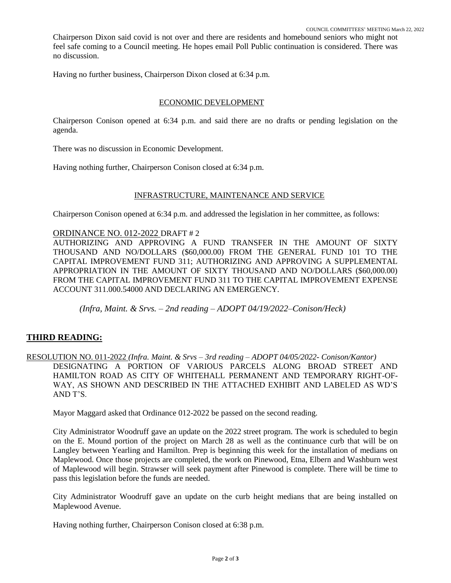Chairperson Dixon said covid is not over and there are residents and homebound seniors who might not feel safe coming to a Council meeting. He hopes email Poll Public continuation is considered. There was no discussion.

Having no further business, Chairperson Dixon closed at 6:34 p.m.

#### ECONOMIC DEVELOPMENT

Chairperson Conison opened at 6:34 p.m. and said there are no drafts or pending legislation on the agenda.

There was no discussion in Economic Development.

Having nothing further, Chairperson Conison closed at 6:34 p.m.

#### INFRASTRUCTURE, MAINTENANCE AND SERVICE

Chairperson Conison opened at 6:34 p.m. and addressed the legislation in her committee, as follows:

#### ORDINANCE NO. 012-2022 DRAFT # 2

AUTHORIZING AND APPROVING A FUND TRANSFER IN THE AMOUNT OF SIXTY THOUSAND AND NO/DOLLARS (\$60,000.00) FROM THE GENERAL FUND 101 TO THE CAPITAL IMPROVEMENT FUND 311; AUTHORIZING AND APPROVING A SUPPLEMENTAL APPROPRIATION IN THE AMOUNT OF SIXTY THOUSAND AND NO/DOLLARS (\$60,000.00) FROM THE CAPITAL IMPROVEMENT FUND 311 TO THE CAPITAL IMPROVEMENT EXPENSE ACCOUNT 311.000.54000 AND DECLARING AN EMERGENCY.

*(Infra, Maint. & Srvs. – 2nd reading – ADOPT 04/19/2022–Conison/Heck)*

## **THIRD READING:**

RESOLUTION NO. 011-2022 *(Infra. Maint. & Srvs – 3rd reading – ADOPT 04/05/2022- Conison/Kantor)* DESIGNATING A PORTION OF VARIOUS PARCELS ALONG BROAD STREET AND HAMILTON ROAD AS CITY OF WHITEHALL PERMANENT AND TEMPORARY RIGHT-OF-WAY, AS SHOWN AND DESCRIBED IN THE ATTACHED EXHIBIT AND LABELED AS WD'S AND T'S.

Mayor Maggard asked that Ordinance 012-2022 be passed on the second reading.

City Administrator Woodruff gave an update on the 2022 street program. The work is scheduled to begin on the E. Mound portion of the project on March 28 as well as the continuance curb that will be on Langley between Yearling and Hamilton. Prep is beginning this week for the installation of medians on Maplewood. Once those projects are completed, the work on Pinewood, Etna, Elbern and Washburn west of Maplewood will begin. Strawser will seek payment after Pinewood is complete. There will be time to pass this legislation before the funds are needed.

City Administrator Woodruff gave an update on the curb height medians that are being installed on Maplewood Avenue.

Having nothing further, Chairperson Conison closed at 6:38 p.m.